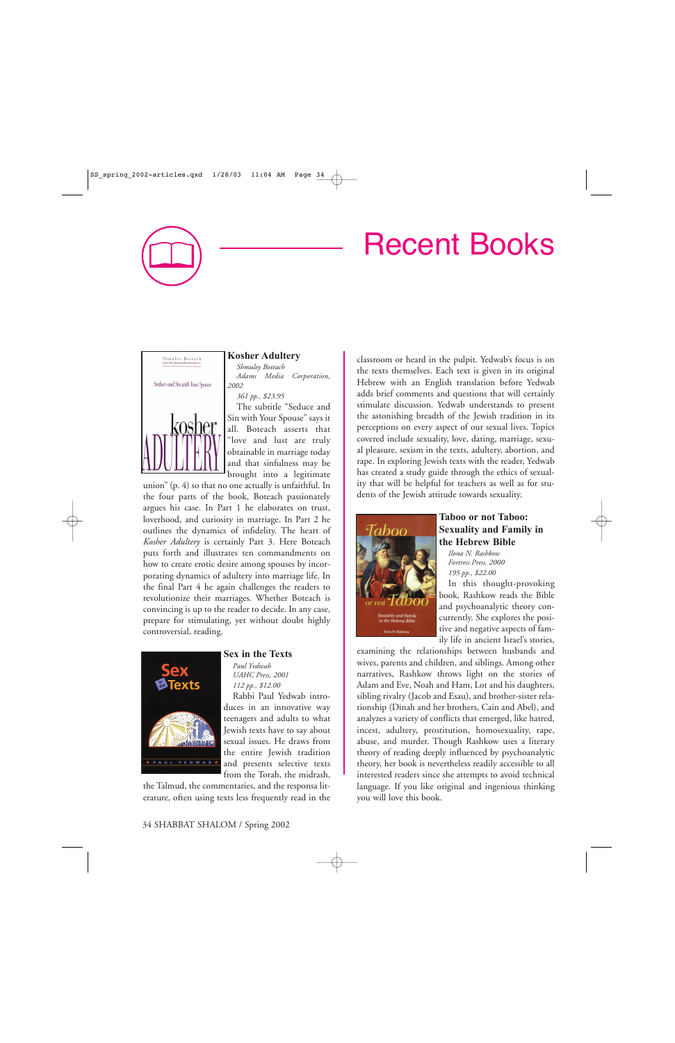# Recent Books



# **Kosher Adultery**

*Shmuley Boteach Adams Media Corporation, 2002*

*361 pp., \$23.95*

The subtitle "Seduce and Sin with Your Spouse" says it all. Boteach asserts that "love and lust are truly obtainable in marriage today and that sinfulness may be brought into a legitimate

union" (p. 4) so that no one actually is unfaithful. In the four parts of the book, Boteach passionately argues his case. In Part 1 he elaborates on trust, loverhood, and curiosity in marriage. In Part 2 he outlines the dynamics of infidelity. The heart of *Kosher Adultery* is certainly Part 3. Here Boteach puts forth and illustrates ten commandments on how to create erotic desire among spouses by incorporating dynamics of adultery into marriage life. In the final Part 4 he again challenges the readers to revolutionize their marriages. Whether Boteach is convincing is up to the reader to decide. In any case, prepare for stimulating, yet without doubt highly controversial, reading.



## **Sex in the Texts**

*Paul Yedwab UAHC Press, 2001 112 pp., \$12.00*

Rabbi Paul Yedwab introduces in an innovative way teenagers and adults to what Jewish texts have to say about sexual issues. He draws from the entire Jewish tradition and presents selective texts from the Torah, the midrash,

the Talmud, the commentaries, and the responsa lit-

erature, often using texts less frequently read in the

the texts themselves. Each text is given in its original Hebrew with an English translation before Yedwab adds brief comments and questions that will certainly stimulate discussion. Yedwab understands to present the astonishing breadth of the Jewish tradition in its perceptions on every aspect of our sexual lives. Topics covered include sexuality, love, dating, marriage, sexual pleasure, sexism in the texts, adultery, abortion, and rape. In exploring Jewish texts with the reader, Yedwab has created a study guide through the ethics of sexuality that will be helpful for teachers as well as for students of the Jewish attitude towards sexuality.

classroom or heard in the pulpit. Yedwab's focus is on



# **Taboo or not Taboo: Sexuality and Family in the Hebrew Bible**

*Ilona N. Rashkow Fortress Press, 2000 195 pp., \$22.00*

In this thought-provoking book, Rashkow reads the Bible and psychoanalytic theory concurrently. She explores the positive and negative aspects of family life in ancient Israel's stories,

examining the relationships between husbands and wives, parents and children, and siblings. Among other narratives, Rashkow throws light on the stories of Adam and Eve, Noah and Ham, Lot and his daughters, sibling rivalry (Jacob and Esau), and brother-sister relationship (Dinah and her brothers, Cain and Abel), and analyzes a variety of conflicts that emerged, like hatred, incest, adultery, prostitution, homosexuality, rape, abuse, and murder. Though Rashkow uses a literary theory of reading deeply influenced by psychoanalytic theory, her book is nevertheless readily accessible to all interested readers since she attempts to avoid technical language. If you like original and ingenious thinking you will love this book.